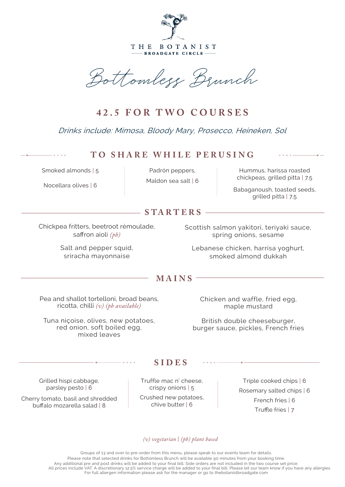

THE BOTANIST BROADGATE CIRCLE-

Bottomless Brunch

## **42.5 FOR TWO COURSES**

Drinks include: Mimosa, Bloody Mary, Prosecco, Heineken, Sol

## **TO SHARE WHILE PERUSING**

Smoked almonds | 5

Nocellara olives | 6

Padrón peppers, Maldon sea salt | 6

Hummus, harissa roasted chickpeas, grilled pitta | 7.5

Babaganoush, toasted seeds, grilled pitta | 7.5

## **S TA RT ER S**

Chickpea fritters, beetroot rémoulade, saffron aioli *(pb)*

> Salt and pepper squid, sriracha mayonnaise

Scottish salmon yakitori, teriyaki sauce, spring onions, sesame

Lebanese chicken, harrisa yoghurt, smoked almond dukkah

## **MAINS**

Pea and shallot tortelloni, broad beans, ricotta, chilli *(v) (pb available)*

Tuna niçoise, olives, new potatoes, red onion, soft boiled egg, mixed leaves

Chicken and waffle, fried egg, maple mustard

British double cheeseburger, burger sauce, pickles, French fries

Grilled hispi cabbage, parsley pesto | 6

Cherry tomato, basil and shredded buffalo mozarella salad | 8

Truffle mac n' cheese, crispy onions | 5

**SIDES**

Crushed new potatoes, chive butter | 6

Triple cooked chips | 6 Rosemary salted chips | 6 French fries | 6 Truffle fries | 7

*(v) vegetarian* | *(pb) plant based*

Groups of 13 and over to pre-order from this menu, please speak to our events team for details. Please note that selected drinks for Bottomless Brunch will be available 90 minutes from your booking time. Any additional pre and post drinks will be added to your final bill. Side orders are not included in the two course set price. All prices include VAT. A discretionary 12.5% service charge will be added to your final bill. Please let our team know if you have any allergies. For full allergen information please ask for the manager or go to thebotanistbroadgate.com